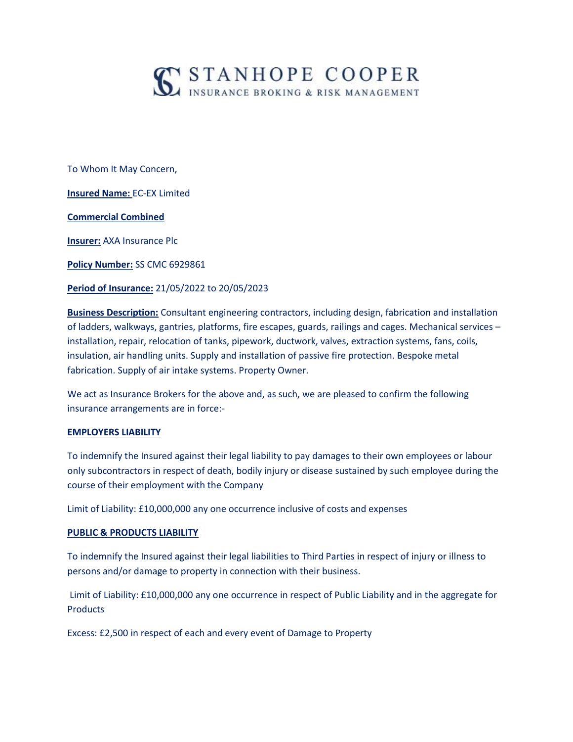

To Whom It May Concern,

**Insured Name:** EC-EX Limited

**Commercial Combined**

**Insurer:** AXA Insurance Plc

**Policy Number:** SS CMC 6929861

**Period of Insurance:** 21/05/2022 to 20/05/2023

**Business Description:** Consultant engineering contractors, including design, fabrication and installation of ladders, walkways, gantries, platforms, fire escapes, guards, railings and cages. Mechanical services – installation, repair, relocation of tanks, pipework, ductwork, valves, extraction systems, fans, coils, insulation, air handling units. Supply and installation of passive fire protection. Bespoke metal fabrication. Supply of air intake systems. Property Owner.

We act as Insurance Brokers for the above and, as such, we are pleased to confirm the following insurance arrangements are in force:-

### **EMPLOYERS LIABILITY**

To indemnify the Insured against their legal liability to pay damages to their own employees or labour only subcontractors in respect of death, bodily injury or disease sustained by such employee during the course of their employment with the Company

Limit of Liability: £10,000,000 any one occurrence inclusive of costs and expenses

### **PUBLIC & PRODUCTS LIABILITY**

To indemnify the Insured against their legal liabilities to Third Parties in respect of injury or illness to persons and/or damage to property in connection with their business.

Limit of Liability: £10,000,000 any one occurrence in respect of Public Liability and in the aggregate for **Products** 

Excess: £2,500 in respect of each and every event of Damage to Property